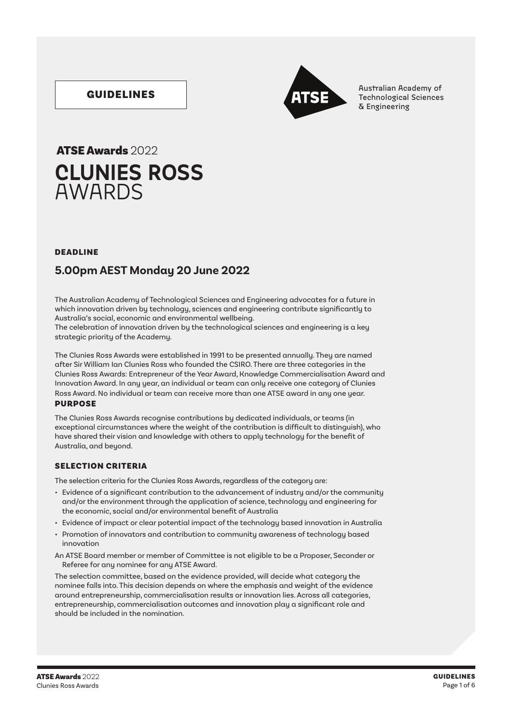### GUIDELINES



Australian Academy of Technological Sciences & Engineering

## **CLUNIES ROSS**  AWARDS ATSE Awards 2022

#### DEADLINE

### **5.00pm AEST Monday 20 June 2022**

The Australian Academy of Technological Sciences and Engineering advocates for a future in which innovation driven by technology, sciences and engineering contribute significantly to Australia's social, economic and environmental wellbeing.

The celebration of innovation driven by the technological sciences and engineering is a key strategic priority of the Academy.

The Clunies Ross Awards were established in 1991 to be presented annually. They are named after Sir William Ian Clunies Ross who founded the CSIRO. There are three categories in the Clunies Ross Awards: Entrepreneur of the Year Award, Knowledge Commercialisation Award and Innovation Award. In any year, an individual or team can only receive one category of Clunies Ross Award. No individual or team can receive more than one ATSE award in any one year. PURPOSE

The Clunies Ross Awards recognise contributions by dedicated individuals, or teams (in exceptional circumstances where the weight of the contribution is difficult to distinguish), who have shared their vision and knowledge with others to apply technology for the benefit of Australia, and beyond.

#### SELECTION CRITERIA

The selection criteria for the Clunies Ross Awards, regardless of the category are:

- Evidence of a significant contribution to the advancement of industry and/or the community and/or the environment through the application of science, technology and engineering for the economic, social and/or environmental benefit of Australia
- Evidence of impact or clear potential impact of the technology based innovation in Australia
- Promotion of innovators and contribution to community awareness of technology based innovation
- An ATSE Board member or member of Committee is not eligible to be a Proposer, Seconder or Referee for any nominee for any ATSE Award.

The selection committee, based on the evidence provided, will decide what category the nominee falls into. This decision depends on where the emphasis and weight of the evidence around entrepreneurship, commercialisation results or innovation lies. Across all categories, entrepreneurship, commercialisation outcomes and innovation play a significant role and should be included in the nomination.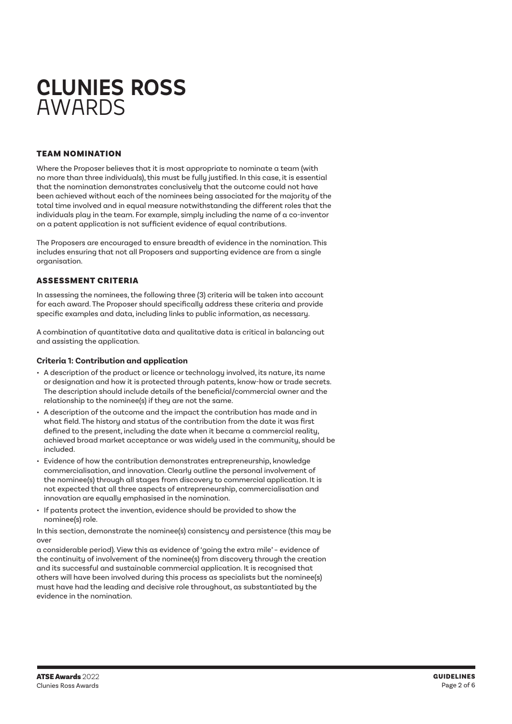# **CLUNIES ROSS**  AWARDS

#### TEAM NOMINATION

Where the Proposer believes that it is most appropriate to nominate a team (with no more than three individuals), this must be fully justified. In this case, it is essential that the nomination demonstrates conclusively that the outcome could not have been achieved without each of the nominees being associated for the majority of the total time involved and in equal measure notwithstanding the different roles that the individuals play in the team. For example, simply including the name of a co-inventor on a patent application is not sufficient evidence of equal contributions.

The Proposers are encouraged to ensure breadth of evidence in the nomination. This includes ensuring that not all Proposers and supporting evidence are from a single organisation.

#### ASSESSMENT CRITERIA

In assessing the nominees, the following three (3) criteria will be taken into account for each award. The Proposer should specifically address these criteria and provide specific examples and data, including links to public information, as necessary.

A combination of quantitative data and qualitative data is critical in balancing out and assisting the application.

#### **Criteria 1: Contribution and application**

- A description of the product or licence or technology involved, its nature, its name or designation and how it is protected through patents, know-how or trade secrets. The description should include details of the beneficial/commercial owner and the relationship to the nominee(s) if they are not the same.
- A description of the outcome and the impact the contribution has made and in what field. The history and status of the contribution from the date it was first defined to the present, including the date when it became a commercial reality, achieved broad market acceptance or was widely used in the community, should be included.
- Evidence of how the contribution demonstrates entrepreneurship, knowledge commercialisation, and innovation. Clearly outline the personal involvement of the nominee(s) through all stages from discovery to commercial application. It is not expected that all three aspects of entrepreneurship, commercialisation and innovation are equally emphasised in the nomination.
- If patents protect the invention, evidence should be provided to show the nominee(s) role.

In this section, demonstrate the nominee(s) consistency and persistence (this may be over

a considerable period). View this as evidence of 'going the extra mile' – evidence of the continuity of involvement of the nominee(s) from discovery through the creation and its successful and sustainable commercial application. It is recognised that others will have been involved during this process as specialists but the nominee(s) must have had the leading and decisive role throughout, as substantiated by the evidence in the nomination.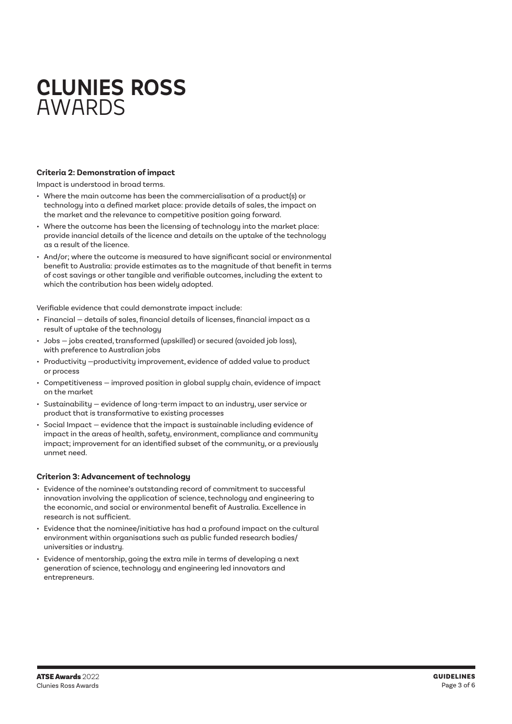# **CLUNIES ROSS** AWARDS

#### **Criteria 2: Demonstration of impact**

Impact is understood in broad terms.

- Where the main outcome has been the commercialisation of a product(s) or technology into a defined market place: provide details of sales, the impact on the market and the relevance to competitive position going forward.
- Where the outcome has been the licensing of technology into the market place: provide inancial details of the licence and details on the uptake of the technology as a result of the licence.
- And/or; where the outcome is measured to have significant social or environmental benefit to Australia: provide estimates as to the magnitude of that benefit in terms of cost savings or other tangible and verifiable outcomes, including the extent to which the contribution has been widely adopted.

Verifiable evidence that could demonstrate impact include:

- Financial details of sales, financial details of licenses, financial impact as a result of uptake of the technology
- Jobs jobs created, transformed (upskilled) or secured (avoided job loss), with preference to Australian jobs
- Productivity —productivity improvement, evidence of added value to product or process
- Competitiveness improved position in global supply chain, evidence of impact on the market
- Sustainability evidence of long-term impact to an industry, user service or product that is transformative to existing processes
- Social Impact evidence that the impact is sustainable including evidence of impact in the areas of health, safety, environment, compliance and community impact; improvement for an identified subset of the community, or a previously unmet need.

#### **Criterion 3: Advancement of technology**

- Evidence of the nominee's outstanding record of commitment to successful innovation involving the application of science, technology and engineering to the economic, and social or environmental benefit of Australia. Excellence in research is not sufficient.
- Evidence that the nominee/initiative has had a profound impact on the cultural environment within organisations such as public funded research bodies/ universities or industry.
- Evidence of mentorship, going the extra mile in terms of developing a next generation of science, technology and engineering led innovators and entrepreneurs.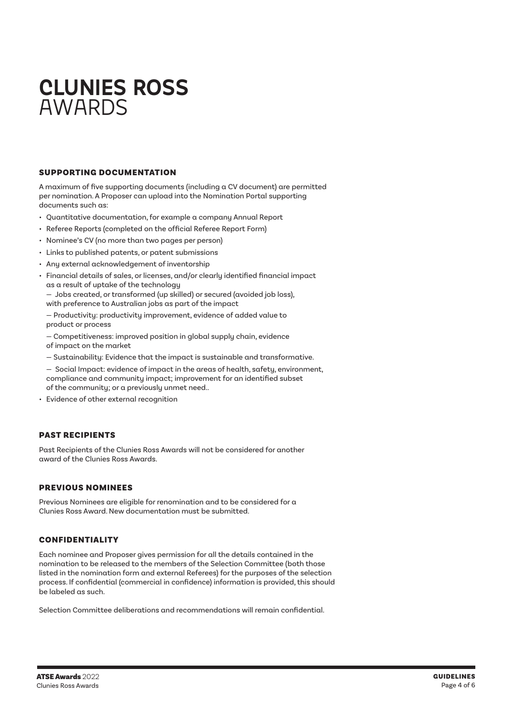# **CLUNIES ROSS** AWARDS

#### SUPPORTING DOCUMENTATION

A maximum of five supporting documents (including a CV document) are permitted per nomination. A Proposer can upload into the Nomination Portal supporting documents such as:

- Quantitative documentation, for example a company Annual Report
- Referee Reports (completed on the official Referee Report Form)
- Nominee's CV (no more than two pages per person)
- Links to published patents, or patent submissions
- Any external acknowledgement of inventorship
- Financial details of sales, or licenses, and/or clearly identified financial impact as a result of uptake of the technology
	- Jobs created, or transformed (up skilled) or secured (avoided job loss), with preference to Australian jobs as part of the impact

— Productivity: productivity improvement, evidence of added value to product or process

- Competitiveness: improved position in global supply chain, evidence of impact on the market
- Sustainability: Evidence that the impact is sustainable and transformative.
- Social Impact: evidence of impact in the areas of health, safety, environment, compliance and community impact; improvement for an identified subset of the community; or a previously unmet need..
- Evidence of other external recognition

#### PAST RECIPIENTS

Past Recipients of the Clunies Ross Awards will not be considered for another award of the Clunies Ross Awards.

#### PREVIOUS NOMINEES

Previous Nominees are eligible for renomination and to be considered for a Clunies Ross Award. New documentation must be submitted.

#### CONFIDENTIALITY

Each nominee and Proposer gives permission for all the details contained in the nomination to be released to the members of the Selection Committee (both those listed in the nomination form and external Referees) for the purposes of the selection process. If confidential (commercial in confidence) information is provided, this should be labeled as such.

Selection Committee deliberations and recommendations will remain confidential.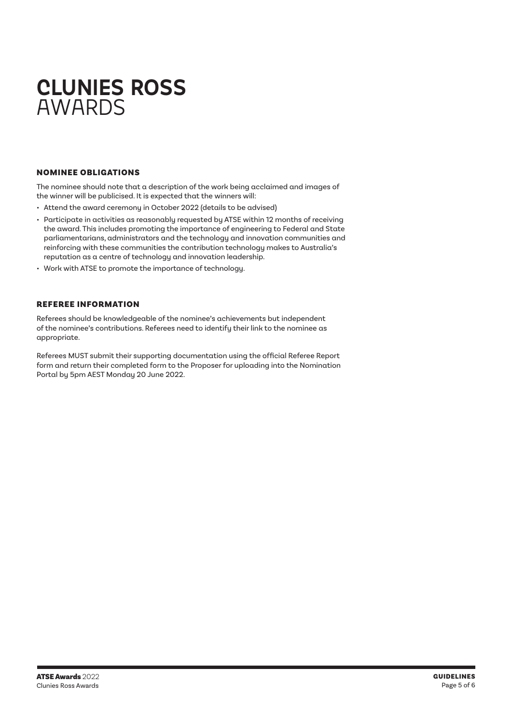# **CLUNIES ROSS** AWARDS

#### NOMINEE OBLIGATIONS

The nominee should note that a description of the work being acclaimed and images of the winner will be publicised. It is expected that the winners will:

- Attend the award ceremony in October 2022 (details to be advised)
- Participate in activities as reasonably requested by ATSE within 12 months of receiving the award. This includes promoting the importance of engineering to Federal and State parliamentarians, administrators and the technology and innovation communities and reinforcing with these communities the contribution technology makes to Australia's reputation as a centre of technology and innovation leadership.
- Work with ATSE to promote the importance of technology.

#### REFEREE INFORMATION

Referees should be knowledgeable of the nominee's achievements but independent of the nominee's contributions. Referees need to identify their link to the nominee as appropriate.

Referees MUST submit their supporting documentation using the official Referee Report form and return their completed form to the Proposer for uploading into the Nomination Portal by 5pm AEST Monday 20 June 2022.